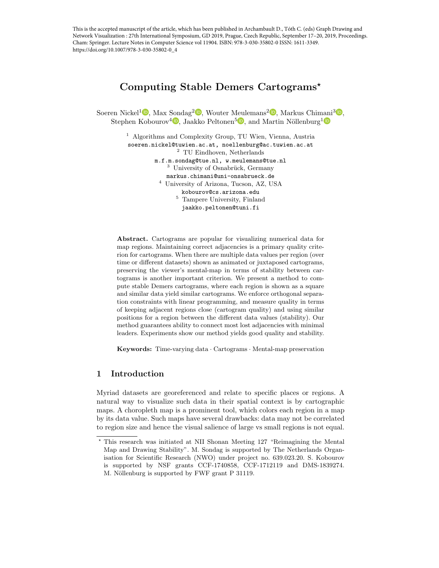This is the accepted manuscript of the article, which has been published in Archambault D., Tóth C. (eds) Graph Drawing and Network Visualization : 27th International Symposium, GD 2019, Prague, Czech Republic, September 17–20, 2019, Proceedings. Cham: Springer. Lecture Notes in Computer Science vol 11904. ISBN: 978-3-030-35802-0 ISSN: 1611-3349. https://doi.org/10.1007/978-3-030-35802-0\_4

# Computing Stable Demers Cartograms?

Soeren Nickel<sup>1</sup><sup>D</sup>[,](https://orcid.org/0000-0002-4681-5550) Max Sondag<sup>2</sup><sup>D</sup>, Wouter Meulemans<sup>2</sup><sup>D</sup>, Markus Chimani<sup>3</sup><sup>D</sup>, Stephen Kobourov<sup>4</sup><sup>(D</sup>[,](https://orcid.org/0000-0003-3485-8585) Jaakko Peltonen<sup>5</sup><sup>(D</sup>), and Martin Nöllenburg<sup>[1](https://orcid.org/0000-0003-0454-3937)</sup>

> <sup>1</sup> Algorithms and Complexity Group, TU Wien, Vienna, Austria soeren.nickel@tuwien.ac.at, noellenburg@ac.tuwien.ac.at <sup>2</sup> TU Eindhoven, Netherlands m.f.m.sondag@tue.nl, w.meulemans@tue.nl <sup>3</sup> University of Osnabrück, Germany markus.chimani@uni-onsabrueck.de <sup>4</sup> University of Arizona, Tucson, AZ, USA kobourov@cs.arizona.edu <sup>5</sup> Tampere University, Finland jaakko.peltonen@tuni.fi

Abstract. Cartograms are popular for visualizing numerical data for map regions. Maintaining correct adjacencies is a primary quality criterion for cartograms. When there are multiple data values per region (over time or different datasets) shown as animated or juxtaposed cartograms, preserving the viewer's mental-map in terms of stability between cartograms is another important criterion. We present a method to compute stable Demers cartograms, where each region is shown as a square and similar data yield similar cartograms. We enforce orthogonal separation constraints with linear programming, and measure quality in terms of keeping adjacent regions close (cartogram quality) and using similar positions for a region between the different data values (stability). Our method guarantees ability to connect most lost adjacencies with minimal leaders. Experiments show our method yields good quality and stability.

Keywords: Time-varying data · Cartograms · Mental-map preservation

## 1 Introduction

Myriad datasets are georeferenced and relate to specific places or regions. A natural way to visualize such data in their spatial context is by cartographic maps. A choropleth map is a prominent tool, which colors each region in a map by its data value. Such maps have several drawbacks: data may not be correlated to region size and hence the visual salience of large vs small regions is not equal.

<sup>?</sup> This research was initiated at NII Shonan Meeting 127 "Reimagining the Mental Map and Drawing Stability". M. Sondag is supported by The Netherlands Organisation for Scientific Research (NWO) under project no. 639.023.20. S. Kobourov is supported by NSF grants CCF-1740858, CCF-1712119 and DMS-1839274. M. Nöllenburg is supported by FWF grant P 31119.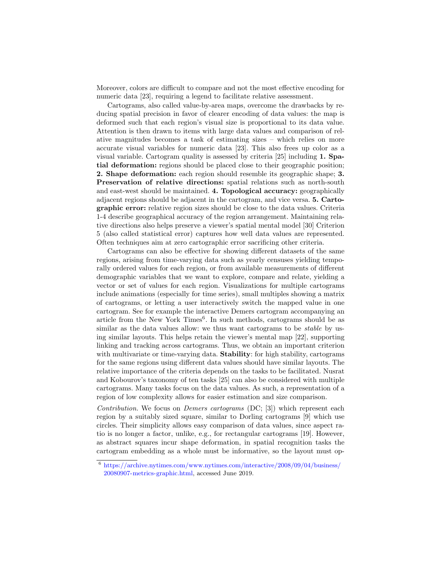Moreover, colors are difficult to compare and not the most effective encoding for numeric data [\[23\]](#page-13-0), requiring a legend to facilitate relative assessment.

Cartograms, also called value-by-area maps, overcome the drawbacks by reducing spatial precision in favor of clearer encoding of data values: the map is deformed such that each region's visual size is proportional to its data value. Attention is then drawn to items with large data values and comparison of relative magnitudes becomes a task of estimating sizes – which relies on more accurate visual variables for numeric data [\[23\]](#page-13-0). This also frees up color as a visual variable. Cartogram quality is assessed by criteria [\[25\]](#page-13-1) including 1. Spatial deformation: regions should be placed close to their geographic position; 2. Shape deformation: each region should resemble its geographic shape; 3. Preservation of relative directions: spatial relations such as north-south and east-west should be maintained. 4. Topological accuracy: geographically adjacent regions should be adjacent in the cartogram, and vice versa. 5. Cartographic error: relative region sizes should be close to the data values. Criteria 1-4 describe geographical accuracy of the region arrangement. Maintaining relative directions also helps preserve a viewer's spatial mental model [\[30\]](#page-14-0) Criterion 5 (also called statistical error) captures how well data values are represented. Often techniques aim at zero cartographic error sacrificing other criteria.

Cartograms can also be effective for showing different datasets of the same regions, arising from time-varying data such as yearly censuses yielding temporally ordered values for each region, or from available measurements of different demographic variables that we want to explore, compare and relate, yielding a vector or set of values for each region. Visualizations for multiple cartograms include animations (especially for time series), small multiples showing a matrix of cartograms, or letting a user interactively switch the mapped value in one cartogram. See for example the interactive Demers cartogram accompanying an article from the New York Times<sup>[6](#page-1-0)</sup>. In such methods, cartograms should be as similar as the data values allow: we thus want cartograms to be *stable* by using similar layouts. This helps retain the viewer's mental map [\[22\]](#page-13-2), supporting linking and tracking across cartograms. Thus, we obtain an important criterion with multivariate or time-varying data. **Stability**: for high stability, cartograms for the same regions using different data values should have similar layouts. The relative importance of the criteria depends on the tasks to be facilitated. Nusrat and Kobourov's taxonomy of ten tasks [\[25\]](#page-13-1) can also be considered with multiple cartograms. Many tasks focus on the data values. As such, a representation of a region of low complexity allows for easier estimation and size comparison.

Contribution. We focus on Demers cartograms (DC; [\[3\]](#page-12-0)) which represent each region by a suitably sized square, similar to Dorling cartograms [\[9\]](#page-12-1) which use circles. Their simplicity allows easy comparison of data values, since aspect ratio is no longer a factor, unlike, e.g., for rectangular cartograms [\[19\]](#page-13-3). However, as abstract squares incur shape deformation, in spatial recognition tasks the cartogram embedding as a whole must be informative, so the layout must op-

<span id="page-1-0"></span><sup>6</sup> [https://archive.nytimes.com/www.nytimes.com/interactive/2008/09/04/business/](https://archive.nytimes.com/www.nytimes.com/interactive/2008/09/04/business/20080907-metrics-graphic.html) [20080907-metrics-graphic.html,](https://archive.nytimes.com/www.nytimes.com/interactive/2008/09/04/business/20080907-metrics-graphic.html) accessed June 2019.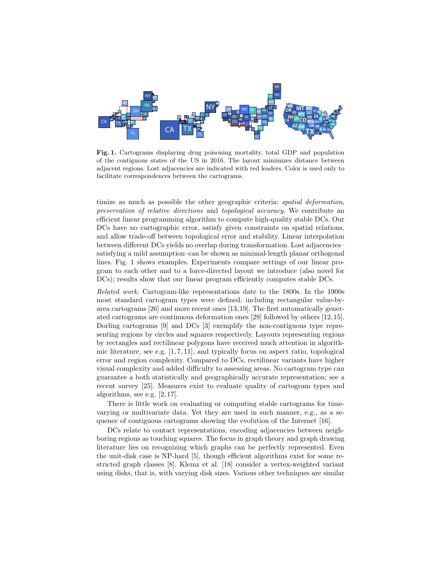

<span id="page-2-0"></span>Fig. 1. Cartograms displaying drug poisoning mortality, total GDP and population of the contiguous states of the US in 2016. The layout minimizes distance between adjacent regions. Lost adjacencies are indicated with red leaders. Color is used only to facilitate correspondences between the cartograms.

timize as much as possible the other geographic criteria: spatial deformation, preservation of relative directions and topological accuracy. We contribute an efficient linear programming algorithm to compute high-quality stable DCs. Our DCs have no cartographic error, satisfy given constraints on spatial relations, and allow trade-off between topological error and stability. Linear interpolation between different DCs yields no overlap during transformation. Lost adjacencies– satisfying a mild assumption–can be shown as minimal-length planar orthogonal lines. Fig. [1](#page-2-0) shows examples. Experiments compare settings of our linear program to each other and to a force-directed layout we introduce (also novel for DCs); results show that our linear program efficiently computes stable DCs.

Related work. Cartogram-like representations date to the 1800s. In the 1900s most standard cartogram types were defined, including rectangular value-byarea cartograms [\[26\]](#page-13-4) and more recent ones [\[13,](#page-13-5)[19\]](#page-13-3). The first automatically generated cartograms are continuous deformation ones [\[29\]](#page-14-1) followed by others [\[12,](#page-13-6)[15\]](#page-13-7). Dorling cartograms [\[9\]](#page-12-1) and DCs [\[3\]](#page-12-0) exemplify the non-contiguous type representing regions by circles and squares respectively. Layouts representing regions by rectangles and rectilinear polygons have received much attention in algorithmic literature, see e.g.  $[1, 7, 11]$  $[1, 7, 11]$  $[1, 7, 11]$ , and typically focus on aspect ratio, topological error and region complexity. Compared to DCs, rectilinear variants have higher visual complexity and added difficulty to assessing areas. No cartogram type can guarantee a both statistically and geographically accurate representation; see a recent survey [\[25\]](#page-13-1). Measures exist to evaluate quality of cartogram types and algorithms, see e.g. [\[2,](#page-12-4) [17\]](#page-13-9).

There is little work on evaluating or computing stable cartograms for timevarying or multivariate data. Yet they are used in such manner, e.g., as a sequence of contiguous cartograms showing the evolution of the Internet [\[16\]](#page-13-10).

DCs relate to contact representations, encoding adjacencies between neighboring regions as touching squares. The focus in graph theory and graph drawing literature lies on recognizing which graphs can be perfectly represented. Even the unit-disk case is NP-hard [\[5\]](#page-12-5), though efficient algorithms exist for some restricted graph classes [\[8\]](#page-12-6). Klemz et al. [\[18\]](#page-13-11) consider a vertex-weighted variant using disks, that is, with varying disk sizes. Various other techniques are similar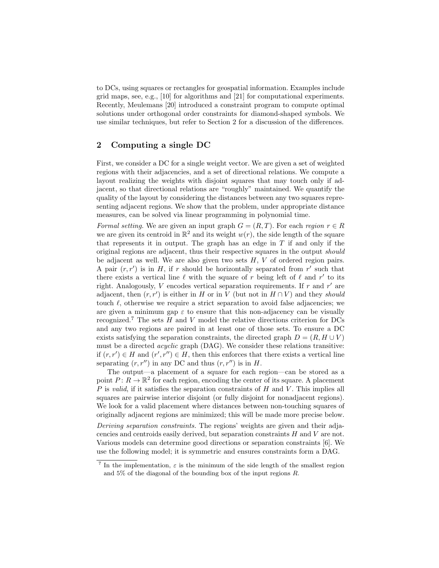to DCs, using squares or rectangles for geospatial information. Examples include grid maps, see, e.g., [\[10\]](#page-12-7) for algorithms and [\[21\]](#page-13-12) for computational experiments. Recently, Meulemans [\[20\]](#page-13-13) introduced a constraint program to compute optimal solutions under orthogonal order constraints for diamond-shaped symbols. We use similar techniques, but refer to Section [2](#page-3-0) for a discussion of the differences.

## <span id="page-3-0"></span>2 Computing a single DC

First, we consider a DC for a single weight vector. We are given a set of weighted regions with their adjacencies, and a set of directional relations. We compute a layout realizing the weights with disjoint squares that may touch only if adjacent, so that directional relations are "roughly" maintained. We quantify the quality of the layout by considering the distances between any two squares representing adjacent regions. We show that the problem, under appropriate distance measures, can be solved via linear programming in polynomial time.

Formal setting. We are given an input graph  $G = (R, T)$ . For each region  $r \in R$ we are given its centroid in  $\mathbb{R}^2$  and its weight  $w(r)$ , the side length of the square that represents it in output. The graph has an edge in  $T$  if and only if the original regions are adjacent, thus their respective squares in the output should be adjacent as well. We are also given two sets  $H, V$  of ordered region pairs. A pair  $(r, r')$  is in H, if r should be horizontally separated from r' such that there exists a vertical line  $\ell$  with the square of r being left of  $\ell$  and r' to its right. Analogously, V encodes vertical separation requirements. If  $r$  and  $r'$  are adjacent, then  $(r, r')$  is either in H or in V (but not in  $H \cap V$ ) and they should touch  $\ell$ , otherwise we require a strict separation to avoid false adjacencies; we are given a minimum gap  $\varepsilon$  to ensure that this non-adjacency can be visually recognized.<sup>[7](#page-3-1)</sup> The sets  $H$  and  $V$  model the relative directions criterion for DCs and any two regions are paired in at least one of those sets. To ensure a DC exists satisfying the separation constraints, the directed graph  $D = (R, H \cup V)$ must be a directed acyclic graph (DAG). We consider these relations transitive: if  $(r, r') \in H$  and  $(r', r'') \in H$ , then this enforces that there exists a vertical line separating  $(r, r'')$  in any DC and thus  $(r, r'')$  is in H.

The output—a placement of a square for each region—can be stored as a point  $P: R \to \mathbb{R}^2$  for each region, encoding the center of its square. A placement  $P$  is valid, if it satisfies the separation constraints of  $H$  and  $V$ . This implies all squares are pairwise interior disjoint (or fully disjoint for nonadjacent regions). We look for a valid placement where distances between non-touching squares of originally adjacent regions are minimized; this will be made more precise below.

Deriving separation constraints. The regions' weights are given and their adjacencies and centroids easily derived, but separation constraints H and V are not. Various models can determine good directions or separation constraints [\[6\]](#page-12-8). We use the following model; it is symmetric and ensures constraints form a DAG.

<span id="page-3-1"></span><sup>&</sup>lt;sup>7</sup> In the implementation,  $\varepsilon$  is the minimum of the side length of the smallest region and 5% of the diagonal of the bounding box of the input regions R.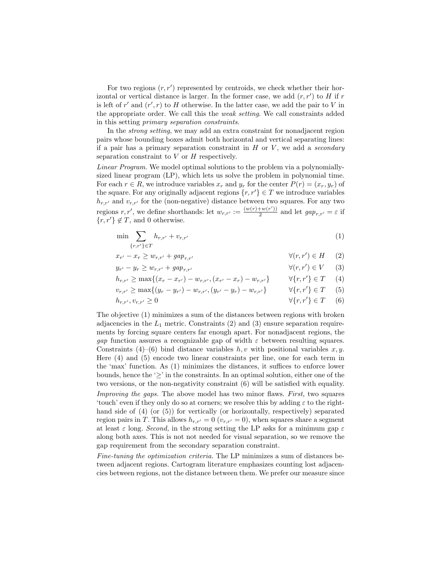For two regions  $(r, r')$  represented by centroids, we check whether their horizontal or vertical distance is larger. In the former case, we add  $(r, r')$  to  $H$  if  $r$ is left of  $r'$  and  $(r', r)$  to H otherwise. In the latter case, we add the pair to V in the appropriate order. We call this the weak setting. We call constraints added in this setting primary separation constraints.

In the strong setting, we may add an extra constraint for nonadjacent region pairs whose bounding boxes admit both horizontal and vertical separating lines: if a pair has a primary separation constraint in  $H$  or  $V$ , we add a secondary separation constraint to  $V$  or  $H$  respectively.

Linear Program. We model optimal solutions to the problem via a polynomiallysized linear program (LP), which lets us solve the problem in polynomial time. For each  $r \in R$ , we introduce variables  $x_r$  and  $y_r$  for the center  $P(r) = (x_r, y_r)$  of the square. For any originally adjacent regions  $\{r, r'\} \in T$  we introduce variables  $h_{r,r'}$  and  $v_{r,r'}$  for the (non-negative) distance between two squares. For any two regions r, r', we define shorthands: let  $w_{r,r'} := \frac{(w(r)+w(r'))}{2}$  $\frac{w(r)}{2}$  and let  $gap_{r,r'} = \varepsilon$  if  $\{r, r'\}\notin T$ , and 0 otherwise.

<span id="page-4-2"></span><span id="page-4-1"></span><span id="page-4-0"></span>
$$
\min \sum_{\{r,r'\} \in T} h_{r,r'} + v_{r,r'} \tag{1}
$$

$$
x_{r'} - x_r \ge w_{r,r'} + gap_{r,r'} \qquad \qquad \forall (r,r') \in H \qquad (2)
$$

$$
y_{r'} - y_r \ge w_{r,r'} + gap_{r,r'} \qquad \qquad \forall (r,r') \in V \qquad (3)
$$

$$
h_{r,r'} \ge \max\{(x_r - x_{r'}) - w_{r,r'}, (x_{r'} - x_r) - w_{r,r'}\} \qquad \forall \{r, r'\} \in T \quad (4)
$$

<span id="page-4-5"></span><span id="page-4-4"></span><span id="page-4-3"></span>
$$
v_{r,r'} \ge \max\{(y_r - y_{r'}) - w_{r,r'}, (y_{r'} - y_r) - w_{r,r'}\} \qquad \forall \{r, r'\} \in T \quad (5)
$$

$$
h_{r,r'}, v_{r,r'} \ge 0 \qquad \qquad \forall \{r,r'\} \in T \qquad (6)
$$

The objective [\(1\)](#page-4-0) minimizes a sum of the distances between regions with broken adjacencies in the  $L_1$  metric. Constraints [\(2\)](#page-4-1) and [\(3\)](#page-4-2) ensure separation requirements by forcing square centers far enough apart. For nonadjacent regions, the gap function assures a recognizable gap of width  $\varepsilon$  between resulting squares. Constraints [\(4\)](#page-4-3)–[\(6\)](#page-4-4) bind distance variables  $h, v$  with positional variables x, y. Here [\(4\)](#page-4-3) and [\(5\)](#page-4-5) encode two linear constraints per line, one for each term in the 'max' function. As [\(1\)](#page-4-0) minimizes the distances, it suffices to enforce lower bounds, hence the ' $\geq$ ' in the constraints. In an optimal solution, either one of the two versions, or the non-negativity constraint [\(6\)](#page-4-4) will be satisfied with equality.

Improving the gaps. The above model has two minor flaws. First, two squares 'touch' even if they only do so at corners; we resolve this by adding  $\varepsilon$  to the righthand side of [\(4\)](#page-4-3) (or [\(5\)](#page-4-5)) for vertically (or horizontally, respectively) separated region pairs in T. This allows  $h_{r,r'} = 0$  ( $v_{r,r'} = 0$ ), when squares share a segment at least  $\varepsilon$  long. Second, in the strong setting the LP asks for a minimum gap  $\varepsilon$ along both axes. This is not not needed for visual separation, so we remove the gap requirement from the secondary separation constraint.

Fine-tuning the optimization criteria. The LP minimizes a sum of distances between adjacent regions. Cartogram literature emphasizes counting lost adjacencies between regions, not the distance between them. We prefer our measure since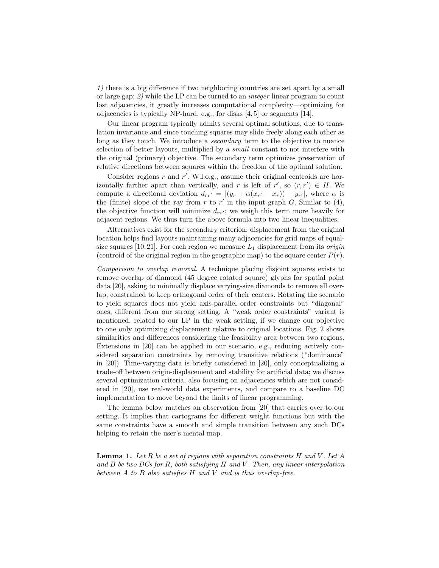1) there is a big difference if two neighboring countries are set apart by a small or large gap; 2) while the LP can be turned to an integer linear program to count lost adjacencies, it greatly increases computational complexity—optimizing for adjacencies is typically NP-hard, e.g., for disks [\[4,](#page-12-9) [5\]](#page-12-5) or segments [\[14\]](#page-13-14).

Our linear program typically admits several optimal solutions, due to translation invariance and since touching squares may slide freely along each other as long as they touch. We introduce a *secondary* term to the objective to nuance selection of better layouts, multiplied by a small constant to not interfere with the original (primary) objective. The secondary term optimizes preservation of relative directions between squares within the freedom of the optimal solution.

Consider regions  $r$  and  $r'$ . W.l.o.g., assume their original centroids are horizontally farther apart than vertically, and r is left of r', so  $(r, r') \in H$ . We compute a directional deviation  $d_{rr'} = |(y_r + \alpha(x_{r'} - x_r)) - y_{r'}|$ , where  $\alpha$  is the (finite) slope of the ray from r to r' in the input graph G. Similar to [\(4\)](#page-4-3), the objective function will minimize  $d_{rr'}$ ; we weigh this term more heavily for adjacent regions. We thus turn the above formula into two linear inequalities.

Alternatives exist for the secondary criterion: displacement from the original location helps find layouts maintaining many adjacencies for grid maps of equal-size squares [\[10,](#page-12-7)[21\]](#page-13-12). For each region we measure  $L_1$  displacement from its *origin* (centroid of the original region in the geographic map) to the square center  $P(r)$ .

Comparison to overlap removal. A technique placing disjoint squares exists to remove overlap of diamond (45 degree rotated square) glyphs for spatial point data [\[20\]](#page-13-13), asking to minimally displace varying-size diamonds to remove all overlap, constrained to keep orthogonal order of their centers. Rotating the scenario to yield squares does not yield axis-parallel order constraints but "diagonal" ones, different from our strong setting. A "weak order constraints" variant is mentioned, related to our LP in the weak setting, if we change our objective to one only optimizing displacement relative to original locations. Fig. [2](#page-6-0) shows similarities and differences considering the feasibility area between two regions. Extensions in [\[20\]](#page-13-13) can be applied in our scenario, e.g., reducing actively considered separation constraints by removing transitive relations ("dominance" in [\[20\]](#page-13-13)). Time-varying data is briefly considered in [\[20\]](#page-13-13), only conceptualizing a trade-off between origin-displacement and stability for artificial data; we discuss several optimization criteria, also focusing on adjacencies which are not considered in [\[20\]](#page-13-13), use real-world data experiments, and compare to a baseline DC implementation to move beyond the limits of linear programming.

The lemma below matches an observation from [\[20\]](#page-13-13) that carries over to our setting. It implies that cartograms for different weight functions but with the same constraints have a smooth and simple transition between any such DCs helping to retain the user's mental map.

**Lemma 1.** Let R be a set of regions with separation constraints H and V. Let A and  $B$  be two DCs for R, both satisfying H and V. Then, any linear interpolation between  $A$  to  $B$  also satisfies  $H$  and  $V$  and is thus overlap-free.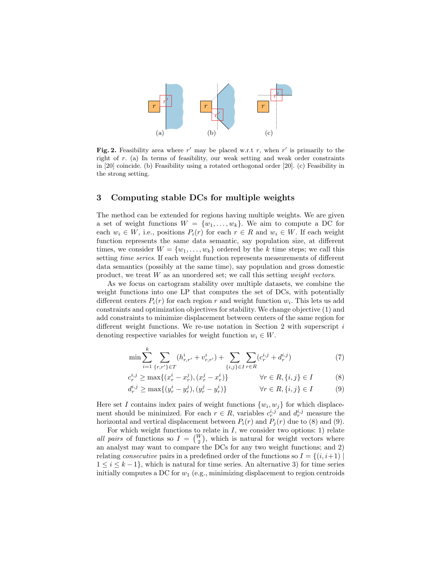

<span id="page-6-0"></span>Fig. 2. Feasibility area where  $r'$  may be placed w.r.t r, when  $r'$  is primarily to the right of r. (a) In terms of feasibility, our weak setting and weak order constraints in [\[20\]](#page-13-13) coincide. (b) Feasibility using a rotated orthogonal order [\[20\]](#page-13-13). (c) Feasibility in the strong setting.

## <span id="page-6-3"></span>3 Computing stable DCs for multiple weights

The method can be extended for regions having multiple weights. We are given a set of weight functions  $W = \{w_1, \ldots, w_k\}$ . We aim to compute a DC for each  $w_i \in W$ , i.e., positions  $P_i(r)$  for each  $r \in R$  and  $w_i \in W$ . If each weight function represents the same data semantic, say population size, at different times, we consider  $W = \{w_1, \ldots, w_k\}$  ordered by the k time steps; we call this setting *time series*. If each weight function represents measurements of different data semantics (possibly at the same time), say population and gross domestic product, we treat  $W$  as an unordered set; we call this setting *weight vectors*.

As we focus on cartogram stability over multiple datasets, we combine the weight functions into one LP that computes the set of DCs, with potentially different centers  $P_i(r)$  for each region r and weight function  $w_i$ . This lets us add constraints and optimization objectives for stability. We change objective [\(1\)](#page-4-0) and add constraints to minimize displacement between centers of the same region for different weight functions. We re-use notation in Section [2](#page-3-0) with superscript i denoting respective variables for weight function  $w_i \in W$ .

<span id="page-6-1"></span>
$$
\min \sum_{i=1}^{k} \sum_{\{r,r'\} \in T} (h_{r,r'}^i + v_{r,r'}^i) + \sum_{\{i,j\} \in I} \sum_{r \in R} (c_r^{i,j} + d_r^{i,j}) \tag{7}
$$

<span id="page-6-2"></span>
$$
c_r^{i,j} \ge \max\{(x_r^i - x_r^j), (x_r^j - x_r^i)\}\qquad \forall r \in R, \{i, j\} \in I \tag{8}
$$

$$
d_r^{i,j} \ge \max\{(y_r^i - y_r^j), (y_r^j - y_r^i)\}\qquad \forall r \in R, \{i, j\} \in I \tag{9}
$$

Here set I contains index pairs of weight functions  $\{w_i, w_j\}$  for which displacement should be minimized. For each  $r \in R$ , variables  $c_r^{i,j}$  and  $d_r^{i,j}$  measure the horizontal and vertical displacement between  $P_i(r)$  and  $P_j(r)$  due to [\(8\)](#page-6-1) and [\(9\)](#page-6-2).

For which weight functions to relate in  $I$ , we consider two options: 1) relate all pairs of functions so  $I = \begin{pmatrix} W \\ 2 \end{pmatrix}$ , which is natural for weight vectors where an analyst may want to compare the DCs for any two weight functions; and 2) relating consecutive pairs in a predefined order of the functions so  $I = \{(i, i+1) \mid$  $1 \leq i \leq k-1$ , which is natural for time series. An alternative 3) for time series initially computes a DC for  $w_1$  (e.g., minimizing displacement to region centroids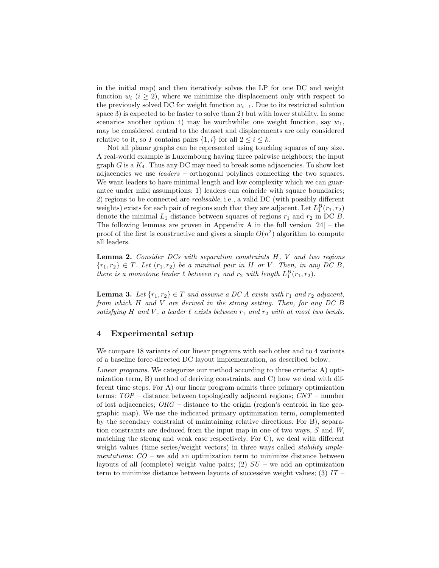in the initial map) and then iteratively solves the LP for one DC and weight function  $w_i$   $(i \geq 2)$ , where we minimize the displacement only with respect to the previously solved DC for weight function  $w_{i-1}$ . Due to its restricted solution space 3) is expected to be faster to solve than 2) but with lower stability. In some scenarios another option 4) may be worthwhile: one weight function, say  $w_1$ , may be considered central to the dataset and displacements are only considered relative to it, so I contains pairs  $\{1, i\}$  for all  $2 \leq i \leq k$ .

Not all planar graphs can be represented using touching squares of any size. A real-world example is Luxembourg having three pairwise neighbors; the input graph  $G$  is a  $K_4$ . Thus any DC may need to break some adjacencies. To show lost adjacencies we use leaders – orthogonal polylines connecting the two squares. We want leaders to have minimal length and low complexity which we can guarantee under mild assumptions: 1) leaders can coincide with square boundaries; 2) regions to be connected are realisable, i.e., a valid DC (with possibly different weights) exists for each pair of regions such that they are adjacent. Let  $L_1^B(r_1, r_2)$ denote the minimal  $L_1$  distance between squares of regions  $r_1$  and  $r_2$  in DC B. The following lemmas are proven in Appendix A in the full version [\[24\]](#page-13-15) – the proof of the first is constructive and gives a simple  $O(n^2)$  algorithm to compute all leaders.

**Lemma 2.** Consider DCs with separation constraints  $H$ ,  $V$  and two regions  ${r_1, r_2} \in T$ . Let  $(r_1, r_2)$  be a minimal pair in H or V. Then, in any DC B, there is a monotone leader  $\ell$  between  $r_1$  and  $r_2$  with length  $L_1^B(r_1, r_2)$ .

**Lemma 3.** Let  $\{r_1, r_2\} \in T$  and assume a DC A exists with  $r_1$  and  $r_2$  adjacent, from which H and V are derived in the strong setting. Then, for any DC B satisfying H and V, a leader  $\ell$  exists between  $r_1$  and  $r_2$  with at most two bends.

# 4 Experimental setup

We compare 18 variants of our linear programs with each other and to 4 variants of a baseline force-directed DC layout implementation, as described below.

Linear programs. We categorize our method according to three criteria: A) optimization term, B) method of deriving constraints, and C) how we deal with different time steps. For A) our linear program admits three primary optimization terms: TOP – distance between topologically adjacent regions; CNT – number of lost adjacencies;  $\overline{ORG}$  – distance to the origin (region's centroid in the geographic map). We use the indicated primary optimization term, complemented by the secondary constraint of maintaining relative directions. For B), separation constraints are deduced from the input map in one of two ways, S and W, matching the strong and weak case respectively. For C), we deal with different weight values (time series/weight vectors) in three ways called *stability imple*mentations:  $CO$  – we add an optimization term to minimize distance between layouts of all (complete) weight value pairs; (2)  $SU$  – we add an optimization term to minimize distance between layouts of successive weight values; (3)  $IT -$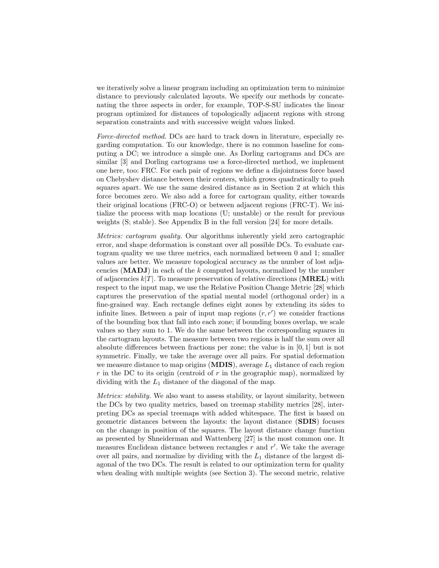we iteratively solve a linear program including an optimization term to minimize distance to previously calculated layouts. We specify our methods by concatenating the three aspects in order, for example, TOP-S-SU indicates the linear program optimized for distances of topologically adjacent regions with strong separation constraints and with successive weight values linked.

Force-directed method. DCs are hard to track down in literature, especially regarding computation. To our knowledge, there is no common baseline for computing a DC; we introduce a simple one. As Dorling cartograms and DCs are similar [\[3\]](#page-12-0) and Dorling cartograms use a force-directed method, we implement one here, too: FRC. For each pair of regions we define a disjointness force based on Chebyshev distance between their centers, which grows quadratically to push squares apart. We use the same desired distance as in Section [2](#page-3-0) at which this force becomes zero. We also add a force for cartogram quality, either towards their original locations (FRC-O) or between adjacent regions (FRC-T). We initialize the process with map locations (U; unstable) or the result for previous weights (S; stable). See Appendix B in the full version [\[24\]](#page-13-15) for more details.

Metrics: cartogram quality. Our algorithms inherently yield zero cartographic error, and shape deformation is constant over all possible DCs. To evaluate cartogram quality we use three metrics, each normalized between 0 and 1; smaller values are better. We measure topological accuracy as the number of lost adjacencies  $(MADJ)$  in each of the k computed layouts, normalized by the number of adjacencies  $k|T|$ . To measure preservation of relative directions (**MREL**) with respect to the input map, we use the Relative Position Change Metric [\[28\]](#page-13-16) which captures the preservation of the spatial mental model (orthogonal order) in a fine-grained way. Each rectangle defines eight zones by extending its sides to infinite lines. Between a pair of input map regions  $(r, r')$  we consider fractions of the bounding box that fall into each zone; if bounding boxes overlap, we scale values so they sum to 1. We do the same between the corresponding squares in the cartogram layouts. The measure between two regions is half the sum over all absolute differences between fractions per zone; the value is in  $[0, 1]$  but is not symmetric. Finally, we take the average over all pairs. For spatial deformation we measure distance to map origins  $(MDIS)$ , average  $L_1$  distance of each region  $r$  in the DC to its origin (centroid of  $r$  in the geographic map), normalized by dividing with the  $L_1$  distance of the diagonal of the map.

Metrics: stability. We also want to assess stability, or layout similarity, between the DCs by two quality metrics, based on treemap stability metrics [\[28\]](#page-13-16), interpreting DCs as special treemaps with added whitespace. The first is based on geometric distances between the layouts: the layout distance (SDIS) focuses on the change in position of the squares. The layout distance change function as presented by Shneiderman and Wattenberg [\[27\]](#page-13-17) is the most common one. It measures Euclidean distance between rectangles  $r$  and  $r'$ . We take the average over all pairs, and normalize by dividing with the  $L_1$  distance of the largest diagonal of the two DCs. The result is related to our optimization term for quality when dealing with multiple weights (see Section [3\)](#page-6-3). The second metric, relative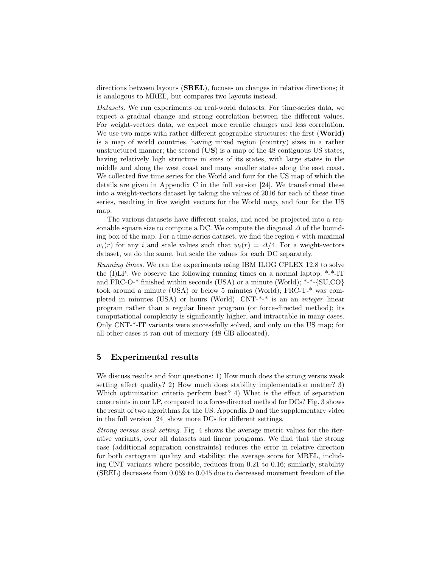directions between layouts (SREL), focuses on changes in relative directions; it is analogous to MREL, but compares two layouts instead.

Datasets. We run experiments on real-world datasets. For time-series data, we expect a gradual change and strong correlation between the different values. For weight-vectors data, we expect more erratic changes and less correlation. We use two maps with rather different geographic structures: the first (World) is a map of world countries, having mixed region (country) sizes in a rather unstructured manner; the second (US) is a map of the 48 contiguous US states, having relatively high structure in sizes of its states, with large states in the middle and along the west coast and many smaller states along the east coast. We collected five time series for the World and four for the US map of which the details are given in Appendix C in the full version [\[24\]](#page-13-15). We transformed these into a weight-vectors dataset by taking the values of 2016 for each of these time series, resulting in five weight vectors for the World map, and four for the US map.

The various datasets have different scales, and need be projected into a reasonable square size to compute a DC. We compute the diagonal  $\Delta$  of the bounding box of the map. For a time-series dataset, we find the region  $r$  with maximal  $w_i(r)$  for any i and scale values such that  $w_i(r) = \Delta/4$ . For a weight-vectors dataset, we do the same, but scale the values for each DC separately.

Running times. We ran the experiments using IBM ILOG CPLEX 12.8 to solve the (I)LP. We observe the following running times on a normal laptop: \*-\*-IT and FRC-O- $*$  finished within seconds (USA) or a minute (World);  $*$ - $*$ -{SU,CO} took around a minute (USA) or below 5 minutes (World); FRC-T-\* was completed in minutes (USA) or hours (World).  $CNT-*^*$  is an an *integer* linear program rather than a regular linear program (or force-directed method); its computational complexity is significantly higher, and intractable in many cases. Only CNT-\*-IT variants were successfully solved, and only on the US map; for all other cases it ran out of memory (48 GB allocated).

# 5 Experimental results

We discuss results and four questions: 1) How much does the strong versus weak setting affect quality? 2) How much does stability implementation matter? 3) Which optimization criteria perform best? 4) What is the effect of separation constraints in our LP, compared to a force-directed method for DCs? Fig. [3](#page-10-0) shows the result of two algorithms for the US. Appendix D and the supplementary video in the full version [\[24\]](#page-13-15) show more DCs for different settings.

Strong versus weak setting. Fig. [4](#page-10-1) shows the average metric values for the iterative variants, over all datasets and linear programs. We find that the strong case (additional separation constraints) reduces the error in relative direction for both cartogram quality and stability: the average score for MREL, including CNT variants where possible, reduces from 0.21 to 0.16; similarly, stability (SREL) decreases from 0.059 to 0.045 due to decreased movement freedom of the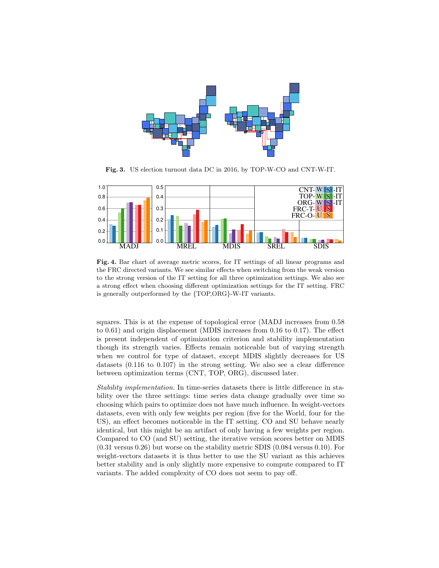

<span id="page-10-0"></span>Fig. 3. US election turnout data DC in 2016, by TOP-W-CO and CNT-W-IT.



<span id="page-10-1"></span>Fig. 4. Bar chart of average metric scores, for IT settings of all linear programs and the FRC directed variants. We see similar effects when switching from the weak version to the strong version of the IT setting for all three optimization settings. We also see a strong effect when choosing different optimization settings for the IT setting. FRC is generally outperformed by the {TOP,ORG}-W-IT variants.

squares. This is at the expense of topological error (MADJ increases from 0.58 to 0.61) and origin displacement (MDIS increases from 0.16 to 0.17). The effect is present independent of optimization criterion and stability implementation though its strength varies. Effects remain noticeable but of varying strength when we control for type of dataset, except MDIS slightly decreases for US datasets (0.116 to 0.107) in the strong setting. We also see a clear difference between optimization terms (CNT, TOP, ORG), discussed later.

Stability implementation. In time-series datasets there is little difference in stability over the three settings: time series data change gradually over time so choosing which pairs to optimize does not have much influence. In weight-vectors datasets, even with only few weights per region (five for the World, four for the US), an effect becomes noticeable in the IT setting. CO and SU behave nearly identical, but this might be an artifact of only having a few weights per region. Compared to CO (and SU) setting, the iterative version scores better on MDIS (0.31 versus 0.26) but worse on the stability metric SDIS (0.084 versus 0.10). For weight-vectors datasets it is thus better to use the SU variant as this achieves better stability and is only slightly more expensive to compute compared to IT variants. The added complexity of CO does not seem to pay off.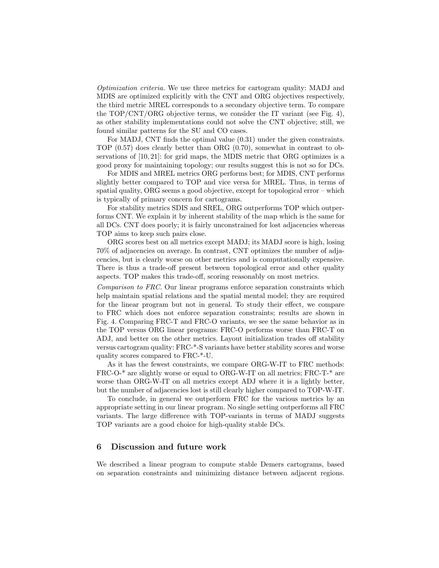Optimization criteria. We use three metrics for cartogram quality: MADJ and MDIS are optimized explicitly with the CNT and ORG objectives respectively, the third metric MREL corresponds to a secondary objective term. To compare the TOP/CNT/ORG objective terms, we consider the IT variant (see Fig. [4\)](#page-10-1), as other stability implementations could not solve the CNT objective; still, we found similar patterns for the SU and CO cases.

For MADJ, CNT finds the optimal value (0.31) under the given constraints. TOP (0.57) does clearly better than ORG (0.70), somewhat in contrast to observations of [\[10,](#page-12-7) [21\]](#page-13-12): for grid maps, the MDIS metric that ORG optimizes is a good proxy for maintaining topology; our results suggest this is not so for DCs.

For MDIS and MREL metrics ORG performs best; for MDIS, CNT performs slightly better compared to TOP and vice versa for MREL. Thus, in terms of spatial quality, ORG seems a good objective, except for topological error – which is typically of primary concern for cartograms.

For stability metrics SDIS and SREL, ORG outperforms TOP which outperforms CNT. We explain it by inherent stability of the map which is the same for all DCs. CNT does poorly; it is fairly unconstrained for lost adjacencies whereas TOP aims to keep such pairs close.

ORG scores best on all metrics except MADJ; its MADJ score is high, losing 70% of adjacencies on average. In contrast, CNT optimizes the number of adjacencies, but is clearly worse on other metrics and is computationally expensive. There is thus a trade-off present between topological error and other quality aspects. TOP makes this trade-off, scoring reasonably on most metrics.

Comparison to FRC. Our linear programs enforce separation constraints which help maintain spatial relations and the spatial mental model; they are required for the linear program but not in general. To study their effect, we compare to FRC which does not enforce separation constraints; results are shown in Fig. [4.](#page-10-1) Comparing FRC-T and FRC-O variants, we see the same behavior as in the TOP versus ORG linear programs: FRC-O performs worse than FRC-T on ADJ, and better on the other metrics. Layout initialization trades off stability versus cartogram quality: FRC-\*-S variants have better stability scores and worse quality scores compared to FRC-\*-U.

As it has the fewest constraints, we compare ORG-W-IT to FRC methods: FRC-O-\* are slightly worse or equal to ORG-W-IT on all metrics; FRC-T-\* are worse than ORG-W-IT on all metrics except ADJ where it is a lightly better, but the number of adjacencies lost is still clearly higher compared to TOP-W-IT.

To conclude, in general we outperform FRC for the various metrics by an appropriate setting in our linear program. No single setting outperforms all FRC variants. The large difference with TOP-variants in terms of MADJ suggests TOP variants are a good choice for high-quality stable DCs.

#### 6 Discussion and future work

We described a linear program to compute stable Demers cartograms, based on separation constraints and minimizing distance between adjacent regions.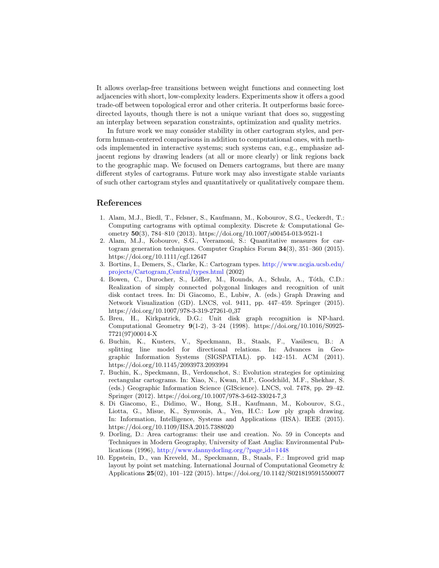It allows overlap-free transitions between weight functions and connecting lost adjacencies with short, low-complexity leaders. Experiments show it offers a good trade-off between topological error and other criteria. It outperforms basic forcedirected layouts, though there is not a unique variant that does so, suggesting an interplay between separation constraints, optimization and quality metrics.

In future work we may consider stability in other cartogram styles, and perform human-centered comparisons in addition to computational ones, with methods implemented in interactive systems; such systems can, e.g., emphasize adjacent regions by drawing leaders (at all or more clearly) or link regions back to the geographic map. We focused on Demers cartograms, but there are many different styles of cartograms. Future work may also investigate stable variants of such other cartogram styles and quantitatively or qualitatively compare them.

#### References

- <span id="page-12-2"></span>1. Alam, M.J., Biedl, T., Felsner, S., Kaufmann, M., Kobourov, S.G., Ueckerdt, T.: Computing cartograms with optimal complexity. Discrete & Computational Geometry 50(3), 784–810 (2013).<https://doi.org/10.1007/s00454-013-9521-1>
- <span id="page-12-4"></span>2. Alam, M.J., Kobourov, S.G., Veeramoni, S.: Quantitative measures for cartogram generation techniques. Computer Graphics Forum 34(3), 351–360 (2015). <https://doi.org/10.1111/cgf.12647>
- <span id="page-12-0"></span>3. Bortins, I., Demers, S., Clarke, K.: Cartogram types. [http://www.ncgia.ucsb.edu/](http://www.ncgia.ucsb.edu/projects/Cartogram_Central/types.html) [projects/Cartogram](http://www.ncgia.ucsb.edu/projects/Cartogram_Central/types.html) Central/types.html (2002)
- <span id="page-12-9"></span>4. Bowen, C., Durocher, S., Löffler, M., Rounds, A., Schulz, A., Tóth, C.D.: Realization of simply connected polygonal linkages and recognition of unit disk contact trees. In: Di Giacomo, E., Lubiw, A. (eds.) Graph Drawing and Network Visualization (GD). LNCS, vol. 9411, pp. 447–459. Springer (2015). [https://doi.org/10.1007/978-3-319-27261-0](https://doi.org/10.1007/978-3-319-27261-0_37) 37
- <span id="page-12-5"></span>5. Breu, H., Kirkpatrick, D.G.: Unit disk graph recognition is NP-hard. Computational Geometry 9(1-2), 3–24 (1998). [https://doi.org/10.1016/S0925-](https://doi.org/10.1016/S0925-7721(97)00014-X) [7721\(97\)00014-X](https://doi.org/10.1016/S0925-7721(97)00014-X)
- <span id="page-12-8"></span>6. Buchin, K., Kusters, V., Speckmann, B., Staals, F., Vasilescu, B.: A splitting line model for directional relations. In: Advances in Geographic Information Systems (SIGSPATIAL). pp. 142–151. ACM (2011). <https://doi.org/10.1145/2093973.2093994>
- <span id="page-12-3"></span>7. Buchin, K., Speckmann, B., Verdonschot, S.: Evolution strategies for optimizing rectangular cartograms. In: Xiao, N., Kwan, M.P., Goodchild, M.F., Shekhar, S. (eds.) Geographic Information Science (GIScience). LNCS, vol. 7478, pp. 29–42. Springer (2012). [https://doi.org/10.1007/978-3-642-33024-7](https://doi.org/10.1007/978-3-642-33024-7_3) 3
- <span id="page-12-6"></span>8. Di Giacomo, E., Didimo, W., Hong, S.H., Kaufmann, M., Kobourov, S.G., Liotta, G., Misue, K., Symvonis, A., Yen, H.C.: Low ply graph drawing. In: Information, Intelligence, Systems and Applications (IISA). IEEE (2015). <https://doi.org/10.1109/IISA.2015.7388020>
- <span id="page-12-1"></span>9. Dorling, D.: Area cartograms: their use and creation. No. 59 in Concepts and Techniques in Modern Geography, University of East Anglia: Environmental Publications (1996), [http://www.dannydorling.org/?page](http://www.dannydorling.org/?page_id=1448) id=1448
- <span id="page-12-7"></span>10. Eppstein, D., van Kreveld, M., Speckmann, B., Staals, F.: Improved grid map layout by point set matching. International Journal of Computational Geometry & Applications 25(02), 101–122 (2015).<https://doi.org/10.1142/S0218195915500077>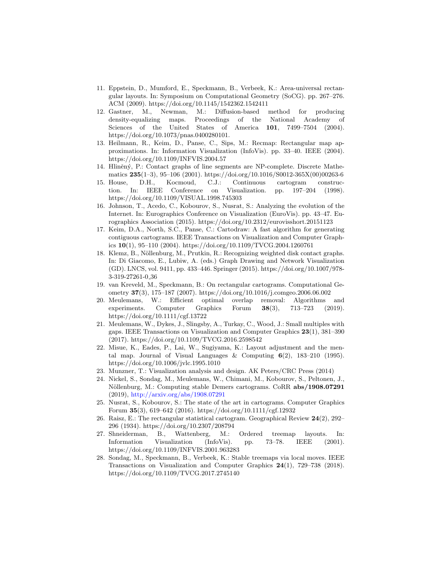- <span id="page-13-8"></span>11. Eppstein, D., Mumford, E., Speckmann, B., Verbeek, K.: Area-universal rectangular layouts. In: Symposium on Computational Geometry (SoCG). pp. 267–276. ACM (2009).<https://doi.org/10.1145/1542362.1542411>
- <span id="page-13-6"></span>12. Gastner, M., Newman, M.: Diffusion-based method for producing density-equalizing maps. Proceedings of the National Academy of Sciences of the United States of America 101, 7499–7504 (2004). <https://doi.org/10.1073/pnas.0400280101.>
- <span id="page-13-5"></span>13. Heilmann, R., Keim, D., Panse, C., Sips, M.: Recmap: Rectangular map approximations. In: Information Visualization (InfoVis). pp. 33–40. IEEE (2004). <https://doi.org/10.1109/INFVIS.2004.57>
- <span id="page-13-14"></span>14. Hliněný, P.: Contact graphs of line segments are NP-complete. Discrete Mathematics 235(1–3), 95–106 (2001). [https://doi.org/10.1016/S0012-365X\(00\)00263-6](https://doi.org/10.1016/S0012-365X(00)00263-6)
- <span id="page-13-7"></span>15. House, D.H., Kocmoud, C.J.: Continuous cartogram construction. In: IEEE Conference on Visualization. pp. 197–204 (1998). <https://doi.org/10.1109/VISUAL.1998.745303>
- <span id="page-13-10"></span>16. Johnson, T., Acedo, C., Kobourov, S., Nusrat, S.: Analyzing the evolution of the Internet. In: Eurographics Conference on Visualization (EuroVis). pp. 43–47. Eurographics Association (2015).<https://doi.org/10.2312/eurovisshort.20151123>
- <span id="page-13-9"></span>17. Keim, D.A., North, S.C., Panse, C.: Cartodraw: A fast algorithm for generating contiguous cartograms. IEEE Transactions on Visualization and Computer Graphics  $10(1)$ , 95–110 (2004).<https://doi.org/10.1109/TVCG.2004.1260761>
- <span id="page-13-11"></span>18. Klemz, B., Nöllenburg, M., Prutkin, R.: Recognizing weighted disk contact graphs. In: Di Giacomo, E., Lubiw, A. (eds.) Graph Drawing and Network Visualization (GD). LNCS, vol. 9411, pp. 433–446. Springer (2015). [https://doi.org/10.1007/978-](https://doi.org/10.1007/978-3-319-27261-0_36) [3-319-27261-0](https://doi.org/10.1007/978-3-319-27261-0_36) 36
- <span id="page-13-3"></span>19. van Kreveld, M., Speckmann, B.: On rectangular cartograms. Computational Geometry 37(3), 175–187 (2007).<https://doi.org/10.1016/j.comgeo.2006.06.002>
- <span id="page-13-13"></span>20. Meulemans, W.: Efficient optimal overlap removal: Algorithms and experiments. Computer Graphics Forum 38(3), 713–723 (2019). <https://doi.org/10.1111/cgf.13722>
- <span id="page-13-12"></span>21. Meulemans, W., Dykes, J., Slingsby, A., Turkay, C., Wood, J.: Small multiples with gaps. IEEE Transactions on Visualization and Computer Graphics 23(1), 381–390 (2017).<https://doi.org/10.1109/TVCG.2016.2598542>
- <span id="page-13-2"></span>22. Misue, K., Eades, P., Lai, W., Sugiyama, K.: Layout adjustment and the mental map. Journal of Visual Languages & Computing  $6(2)$ , 183-210 (1995). <https://doi.org/10.1006/jvlc.1995.1010>
- <span id="page-13-0"></span>23. Munzner, T.: Visualization analysis and design. AK Peters/CRC Press (2014)
- <span id="page-13-15"></span>24. Nickel, S., Sondag, M., Meulemans, W., Chimani, M., Kobourov, S., Peltonen, J., Nöllenburg, M.: Computing stable Demers cartograms. CoRR abs/1908.07291 (2019), <http://arxiv.org/abs/1908.07291>
- <span id="page-13-1"></span>25. Nusrat, S., Kobourov, S.: The state of the art in cartograms. Computer Graphics Forum 35(3), 619–642 (2016).<https://doi.org/10.1111/cgf.12932>
- <span id="page-13-4"></span>26. Raisz, E.: The rectangular statistical cartogram. Geographical Review 24(2), 292– 296 (1934).<https://doi.org/10.2307/208794>
- <span id="page-13-17"></span>27. Shneiderman, B., Wattenberg, M.: Ordered treemap layouts. In: Information Visualization (InfoVis). pp. 73–78. IEEE (2001). <https://doi.org/10.1109/INFVIS.2001.963283>
- <span id="page-13-16"></span>28. Sondag, M., Speckmann, B., Verbeek, K.: Stable treemaps via local moves. IEEE Transactions on Visualization and Computer Graphics 24(1), 729–738 (2018). <https://doi.org/10.1109/TVCG.2017.2745140>